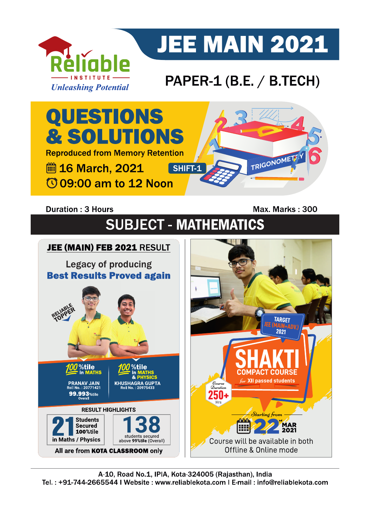

# **JEE MAIN 2021**

### PAPER-1 (B.E. / B.TECH)



### **Duration: 3 Hours**

Max. Marks: 300

## **SUBJECT - MATHEMATICS**

#### JEE (MAIN) FEB 2021 RESULT **Legacy of producing Best Results Proved again** JEE (MAIN) **TARGET** %tile %tile in MATHS **COMPACT COURSE** for XII passed students **PRANAV JAIN<br><sup>2</sup>0II No. : 20771421**  $\mathcal{D}_{uration}$ 99.993 %tile ЫΙ **RESULT HIGHLIGHTS** Starting from **Students nnn MAR**<br>2021 Secured E 100%tile students secured<br>above 99%tile (Overall) in Maths / Physics Course will be available in both Offline & Online mode All are from KOTA CLASSROOM only

A-10, Road No.1, IPIA, Kota-324005 (Rajasthan), India Tel.: +91-744-2665544 | Website: www.reliablekota.com | E-mail: info@reliablekota.com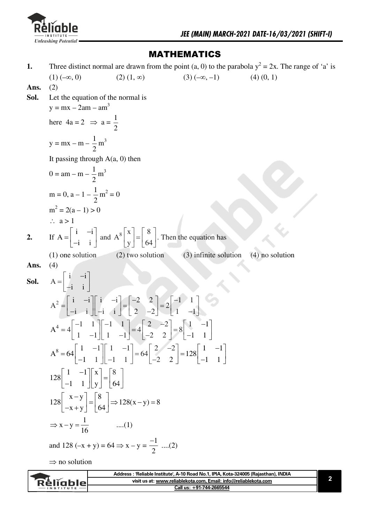

### **MATHEMATICS**

Three distinct normal are drawn from the point (a, 0) to the parabola  $y^2 = 2x$ . The range of 'a' is 1.  $(1)(-\infty, 0)$  $(2)$   $(1, \infty)$  $(3)(-\infty, -1)$  $(4)$   $(0, 1)$ Ans.  $(2)$ Let the equation of the normal is Sol.  $y = mx - 2am - am^3$ here  $4a = 2 \Rightarrow a = \frac{1}{2}$  $y = mx - m - \frac{1}{2}m^{3}$ It passing through  $A(a, 0)$  then  $0 = am - m - \frac{1}{2}m^3$  $m = 0$ ,  $a - 1 - \frac{1}{2}m^2 = 0$  $m<sup>2</sup> = 2(a - 1) > 0$  $\therefore$  a > 1 If  $A = \begin{bmatrix} i & -i \\ -i & i \end{bmatrix}$  and  $A^8 \begin{bmatrix} x \\ y \end{bmatrix} = \begin{bmatrix} 8 \\ 64 \end{bmatrix}$ . Then the equation has  $\overline{2}$ .  $(2)$  two solution (3) infinite solution  $(1)$  one solution  $(4)$  no solution Ans.  $(4)$  $A = \begin{bmatrix} i & -i \\ -i & i \end{bmatrix}$ Sol.  $A^2 = \begin{bmatrix} i & -i \\ -i & i \end{bmatrix} \begin{bmatrix} i & -i \\ -i & i \end{bmatrix} = \begin{bmatrix} -2 & 2 \\ 2 & -2 \end{bmatrix} = 2 \begin{bmatrix} -1 & 1 \\ 1 & -1 \end{bmatrix}$  $A^4 = 4\begin{bmatrix} -1 & 1 \\ 1 & -1 \end{bmatrix}\begin{bmatrix} -1 & 1 \\ 1 & -1 \end{bmatrix} = 4\begin{bmatrix} 2 & -2 \\ -2 & 2 \end{bmatrix} = 8\begin{bmatrix} 1 & -1 \\ -1 & 1 \end{bmatrix}$  $A^8 = 64 \begin{bmatrix} 1 & -1 \\ -1 & 1 \end{bmatrix} \begin{bmatrix} 1 & -1 \\ -1 & 1 \end{bmatrix} = 64 \begin{bmatrix} 2 & -2 \\ -2 & 2 \end{bmatrix} = 128 \begin{bmatrix} 1 & -1 \\ -1 & 1 \end{bmatrix}$  $128\begin{bmatrix} 1 & -1 \\ -1 & 1 \end{bmatrix} \begin{bmatrix} x \\ y \end{bmatrix} = \begin{bmatrix} 8 \\ 64 \end{bmatrix}$  $128\begin{bmatrix} x-y \\ -x+y \end{bmatrix} = \begin{bmatrix} 8 \\ 64 \end{bmatrix} \Rightarrow 128(x-y) = 8$  $\Rightarrow$  x-y= $\frac{1}{16}$  ....(1) and 128 (-x + y) = 64  $\Rightarrow$  x - y =  $\frac{-1}{2}$  ....(2)  $\Rightarrow$  no solution Address : 'Reliable Institute', A-10 Road No.1, IPIA, Kota-324005 (Rajasthan), INDIA  $\overline{\mathbf{2}}$ Réliable visit us at: www.reliablekota.com, Email: info@reliablekota.com

Call us: +91-744-2665544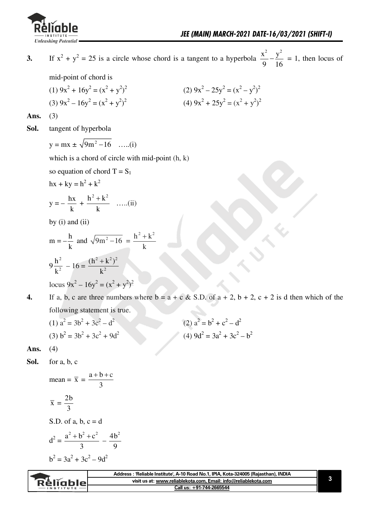

If  $x^2 + y^2 = 25$  is a circle whose chord is a tangent to a hyperbola  $\frac{x^2}{9} - \frac{y^2}{16} = 1$ , then locus of  $3.$ 

mid-point of chord is

(1)  $9x^2 + 16y^2 = (x^2 + y^2)^2$ (2)  $9x^2 - 25y^2 = (x^2 - y^2)^2$ (3)  $9x^2 - 16y^2 = (x^2 + y^2)^2$ (4)  $9x^2 + 25y^2 = (x^2 + y^2)^2$ 

Ans.  $(3)$ 

Sol. tangent of hyperbola

$$
y = mx \pm \sqrt{9m^2 - 16}
$$
 ....(i)

which is a chord of circle with mid-point (h, k)

so equation of chord  $T = S_1$ 

$$
hx + ky = h^2 + k^2
$$

$$
y = -\frac{hx}{k} + \frac{h^2 + k^2}{k}
$$
 ....(ii)

by  $(i)$  and  $(ii)$ 

$$
m = -\frac{h}{k} \text{ and } \sqrt{9m^2 - 16} = \frac{h^2 + k^2}{k}
$$
  

$$
9\frac{h^2}{k^2} - 16 = \frac{(h^2 + k^2)^2}{k^2}
$$
  
locus  $9x^2 - 16y^2 = (x^2 + y^2)^2$ 

If a, b, c are three numbers where  $b = a + c \& S.D.$  of  $a + 2$ ,  $b + 2$ ,  $c + 2$  is d then which of the  $\overline{4}$ . following statement is true.

(1) 
$$
a^2 = 3b^2 + 3c^2 - d^2
$$
  
\n(2)  $a^2 = b^2 + c^2 - d^2$   
\n(3)  $b^2 = 3b^2 + 3c^2 + 9d^2$   
\n(4)  $9d^2 = 3a^2 + 3c^2 - b^2$ 

Ans.  $(4)$ 

Sol. for a, b, c

mean = 
$$
\bar{x} = \frac{a+b+c}{3}
$$
  
\n $\bar{x} = \frac{2b}{3}$   
\nS.D. of a, b, c = d  
\n $d^2 = \frac{a^2 + b^2 + c^2}{3} - \frac{4b^2}{9}$   
\n $b^2 = 3a^2 + 3c^2 - 9d^2$ 

|           | Address : 'Reliable Institute', A-10 Road No.1, IPIA, Kota-324005 (Rajasthan), INDIA |
|-----------|--------------------------------------------------------------------------------------|
| Réliable  | visit us at: www.reliablekota.com, Email: info@reliablekota.com                      |
| INSTITUTE | Call us: +91-744-2665544                                                             |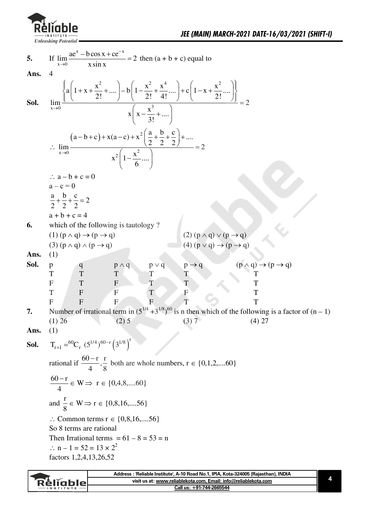

5. If 
$$
\lim_{x\to 0} \frac{ae^x - b\cos x + ce^{-x}}{\sin x} = 2
$$
 then  $(a + b + c)$  equal to  
\n**Ans.** 4  
\n6.61.  $\lim_{x\to 0} \frac{\left\{a\left(1+x+\frac{x^2}{2!}+....\right)-b\left(1-\frac{x^2}{2!}+\frac{x^4}{4!}....\right)+c\left(1-x+\frac{x^2}{2!}...\right)\right\}}{x\left(x-\frac{x^3}{3!}+....\right)} = 2$   
\n $\therefore \lim_{x\to 0} \frac{(a-b+c)+x(a-c)+x^2\left(\frac{a}{2}+\frac{b}{2}+\frac{c}{2}\right)+....}{x^2\left(1-\frac{x^2}{6}...\right)} = 2$   
\n $\therefore a-b+c=0$   
\n $\therefore a-b+c=0$   
\n $\frac{a}{2}+\frac{b}{2}+\frac{c}{2}=2$   
\n $a+b+c=4$   
\n6. which of the following is tautology ?  
\n(1)  $(p \land q) \rightarrow (p \rightarrow q)$   
\n(2)  $(p \land q) \lor (p \rightarrow q)$   
\n(3)  $(p \land q) \land (p \rightarrow q)$   
\n(4)  $(p \lor q) \rightarrow (p \rightarrow q)$   
\n(5)  $(p \land q) \land (p \rightarrow q)$   
\n(6)  $(p \lor q) \rightarrow (p \rightarrow q)$   
\n(7)  $\frac{p}{q}$   
\n(8)  $\frac{p}{q}$   
\n(9)  $\frac{p}{q}$   
\n(1)  $\frac{p}{q}$   
\n(1)  $\frac{p}{q}$   
\n(2)  $(p \land q) \lor (p \rightarrow q)$   
\n(3)  $(p \lor q) \rightarrow (p \rightarrow q)$   
\n(4)  $(p \lor q) \rightarrow (p \rightarrow q)$   
\n(5)  $\frac{p}{q}$   
\n(6)  $\frac{p}{q}$   
\n(7)  $\frac{p}{r}$   
\n(8)  $\frac{p}{r}$   
\n(9)  $\frac{p}{r}$   
\n(1)  $\frac{p}{r}$   
\n(1) <

| <b>Réliable</b><br>$INSTITUTE$ – | Address: 'Reliable Institute', A-10 Road No.1, IPIA, Kota-324005 (Rajasthan), INDIA |
|----------------------------------|-------------------------------------------------------------------------------------|
|                                  | visit us at: www.reliablekota.com, Email: info@reliablekota.com                     |
|                                  | Call us: +91-744-2665544                                                            |
|                                  |                                                                                     |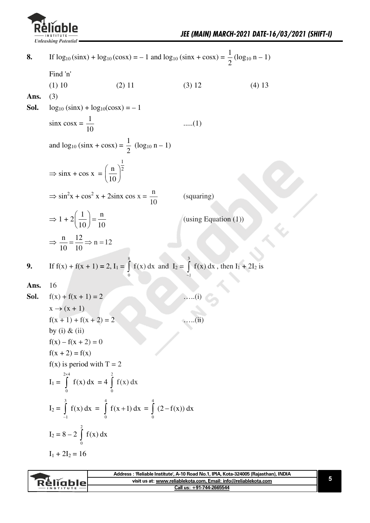

If  $\log_{10}(\sin x) + \log_{10}(\cos x) = -1$  and  $\log_{10}(\sin x + \cos x) = \frac{1}{2}(\log_{10} n - 1)$ 8. Find 'n'  $(1) 10$  $(2) 11$  $(3) 12$  $(4) 13$ Ans.  $(3)$ Sol.  $log_{10}$  (sinx) +  $log_{10}(cos x) = -1$  $\sin x \cos x = \frac{1}{10}$  $....(1)$ and  $log_{10} (sinx + cosx) = \frac{1}{2} (log_{10} n - 1)$  $\Rightarrow$  sinx + cos x =  $\left(\frac{\text{n}}{10}\right)^{\frac{1}{2}}$  $\Rightarrow$  sin<sup>2</sup>x + cos<sup>2</sup> x + 2sinx cos x =  $\frac{n}{10}$ (squaring)  $\Rightarrow 1 + 2\left(\frac{1}{10}\right) = \frac{n}{10}$ (using Equation  $(1)$ )  $\Rightarrow$   $\frac{n}{10} = \frac{12}{10} \Rightarrow n = 12$ If  $f(x) + f(x + 1) = 2$ ,  $I_1 = \int_0^8 f(x) dx$  and  $I_2 = \int_0^3 f(x) dx$ , then  $I_1 + 2I_2$  is 9. 16 Ans.  $f(x) + f(x + 1) = 2$ Sol.  $x \rightarrow (x + 1)$  $f(x + 1) + f(x + 2) = 2$  $(ii)$ by (i)  $&$  (ii)  $f(x) - f(x + 2) = 0$  $f(x + 2) = f(x)$  $f(x)$  is period with  $T = 2$  $I_1 = \int_{0}^{2x4} f(x) dx = 4 \int_{0}^{2} f(x) dx$  $I_2 = \int_1^3 f(x) dx = \int_2^4 f(x+1) dx = \int_2^4 (2-f(x)) dx$  $I_2 = 8 - 2 \int_0^2 f(x) dx$  $I_1 + 2I_2 = 16$ 

|                 | Address: 'Reliable Institute', A-10 Road No.1, IPIA, Kota-324005 (Rajasthan), INDIA |  |
|-----------------|-------------------------------------------------------------------------------------|--|
| <b>Réliable</b> | visit us at: www.reliablekota.com. Email: info@reliablekota.com                     |  |
|                 | Call us: +91-744-2665544                                                            |  |
|                 |                                                                                     |  |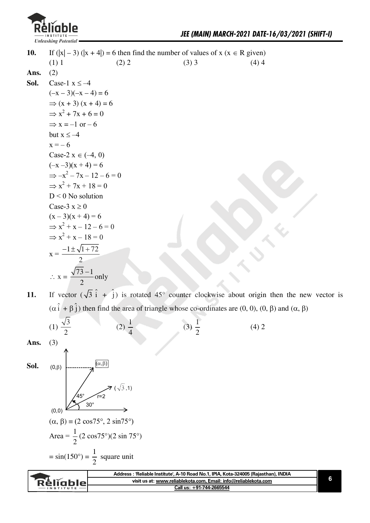

 $(4)$  2

**10.** If  $(|x|-3)(|x+4|) = 6$  then find the number of values of  $x (x \in R$  given) (1) 1 (2) 2 (3) 3 (4) 4 Ans.  $(2)$ **Sol.** Case-1  $x \le -4$  $(-x-3)(-x-4)=6$  $\Rightarrow$  (x + 3) (x + 4) = 6  $\Rightarrow$  x<sup>2</sup> + 7x + 6 = 0  $\Rightarrow$  x = -1 or – 6 but  $x \le -4$  $x = -6$ Case-2  $x \in (-4, 0)$  $(-x - 3)(x + 4) = 6$  $\Rightarrow -x^2 - 7x - 12 - 6 = 0$  $\Rightarrow$  x<sup>2</sup> + 7x + 18 = 0  $D < 0$  No solution Case-3  $x \ge 0$  $(x - 3)(x + 4) = 6$  $\Rightarrow x^2 + x - 12 - 6 = 0$  $\Rightarrow$  x<sup>2</sup> + x - 18 = 0  $x = \frac{-1 \pm \sqrt{1 + 72}}{2}$  $\overline{\mathbf{c}}$  $\therefore$  x =  $\frac{\sqrt{73}-1}{2}$  $\overline{c}$ only

**11.** If vector  $(\sqrt{3} \hat{i} + \hat{j})$  is rotated 45° counter clockwise about origin then the new vector is  $(\alpha \hat{i} + \beta \hat{j})$  then find the area of triangle whose co-ordinates are  $(0, 0)$ ,  $(0, \beta)$  and  $(\alpha, \beta)$ 

> $(3) \frac{1}{2}$  $\overline{c}$

$$
(1) \frac{\sqrt{3}}{2}
$$

**Ans.** (3)

Sol.  $(0,\beta)$ 

$$
(0,0)
$$
\n
$$
(0,0)
$$
\n
$$
(0,0)
$$
\n
$$
(0,0)
$$
\n
$$
(0,0)
$$
\n
$$
(0,0)
$$
\n
$$
(0,0)
$$
\n
$$
(0,0)
$$
\n
$$
(0,0)
$$
\n
$$
(0,0)
$$
\n
$$
(0,0)
$$
\n
$$
(0,0)
$$
\n
$$
(0,0)
$$
\n
$$
(0,0)
$$
\n
$$
(0,0)
$$
\n
$$
(0,0)
$$
\n
$$
(0,0)
$$
\n
$$
(0,0)
$$
\n
$$
(0,0)
$$
\n
$$
(0,0)
$$
\n
$$
(0,0)
$$
\n
$$
(0,0)
$$
\n
$$
(0,0)
$$
\n
$$
(0,0)
$$
\n
$$
(0,0)
$$
\n
$$
(0,0)
$$
\n
$$
(0,0)
$$
\n
$$
(0,0)
$$
\n
$$
(0,0)
$$
\n
$$
(0,0)
$$
\n
$$
(0,0)
$$
\n
$$
(0,0)
$$
\n
$$
(0,0)
$$
\n
$$
(0,0)
$$
\n
$$
(0,0)
$$
\n
$$
(0,0)
$$
\n
$$
(0,0)
$$
\n
$$
(0,0)
$$
\n
$$
(0,0)
$$
\n
$$
(0,0)
$$
\n
$$
(0,0)
$$
\n
$$
(0,0)
$$
\n
$$
(0,0)
$$
\n
$$
(0,0)
$$
\n
$$
(0,0)
$$
\n
$$
(0,0)
$$
\n
$$
(0,0)
$$
\n
$$
(0,0)
$$
\n
$$
(0,0)
$$
\n
$$
(0,0)
$$
\n
$$
(0,0)
$$
\n
$$
(0,0)
$$
\n
$$
(0,0)
$$
\n
$$
(0,0)
$$
\n
$$
(0,0)
$$
\n
$$
(0,0)
$$
\n
$$
(0,0)
$$
\n
$$
(0,0)
$$
\n
$$
(0,0)
$$

 $\overline{c}$ 

 $(2) \frac{1}{2}$  $\overline{4}$ 

 $(\sqrt{3},1)$ 

**Address : 'Reliable Institute', A-10 Road No.1, IPIA, Kota-324005 (Rajasthan), INDIA 6**  Réliable **visit us at: www.reliablekota.com, Email: info@reliablekota.com Call us: +91-744-2665544**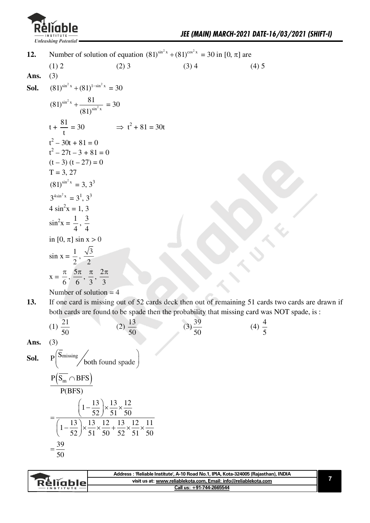

| 12.  |                                                                    |         | Number of solution of equation $(81)^{\sin^2 x} + (81)^{\cos^2 x} = 30$ in [0, $\pi$ ] are |         |
|------|--------------------------------------------------------------------|---------|--------------------------------------------------------------------------------------------|---------|
|      | (1) 2                                                              | $(2)$ 3 | $(3)$ 4                                                                                    | $(4)$ 5 |
| Ans. | (3)                                                                |         |                                                                                            |         |
| Sol. | $(81)^{\sin^2 x} + (81)^{1-\sin^2 x} = 30$                         |         |                                                                                            |         |
|      | $(81)^{\sin^2 x} + \frac{81}{(81)^{\sin^2 x}} = 30$                |         |                                                                                            |         |
|      | $t + \frac{81}{t} = 30$ $\implies t^2 + 81 = 30t$                  |         |                                                                                            |         |
|      | $t^2 - 30t + 81 = 0$                                               |         |                                                                                            |         |
|      | $t^2 - 27t - 3 + 81 = 0$                                           |         |                                                                                            |         |
|      | $(t-3) (t-27) = 0$                                                 |         |                                                                                            |         |
|      | $T = 3, 27$                                                        |         |                                                                                            |         |
|      | $(81)^{\sin^2 x} = 3, 3^3$                                         |         |                                                                                            |         |
|      | $3^{4\sin^2 x} = 3^1 \cdot 3^3$                                    |         |                                                                                            |         |
|      | $4 \sin^2 x = 1, 3$                                                |         |                                                                                            |         |
|      | $\sin^2 x = \frac{1}{4}, \frac{3}{4}$                              |         |                                                                                            |         |
|      | in $[0, \pi]$ sin $x > 0$                                          |         |                                                                                            |         |
|      | $\sin x = \frac{1}{2}, \frac{\sqrt{3}}{2}$                         |         |                                                                                            |         |
|      | $x = \frac{\pi}{6}, \frac{5\pi}{6}, \frac{\pi}{3}, \frac{2\pi}{3}$ |         |                                                                                            |         |

Number of solution  $=$  4

If one card is missing out of 52 cards deck then out of remaining 51 cards two cards are drawn if 13. both cards are found to be spade then the probability that missing card was NOT spade, is:

(1) 
$$
\frac{21}{50}
$$
 (2)  $\frac{13}{50}$  (3)  $\frac{39}{50}$  (4)  $\frac{4}{5}$ 

Ans.  $(3)$ 

**Sol.** P
$$
\left(\frac{\overline{S}_{missing}}{\text{both found spade}}\right)
$$
  
\n
$$
\frac{P(\overline{S}_{m} \cap \text{BFS})}{P(\text{BFS})}
$$
\n
$$
= \frac{\left(1 - \frac{13}{52}\right) \times \frac{13}{51} \times \frac{12}{50}}{\left(1 - \frac{13}{52}\right) \times \frac{13}{51} \times \frac{12}{50} + \frac{13}{52} \times \frac{12}{51} \times \frac{11}{50}}
$$
\n
$$
= \frac{39}{50}
$$

|                  | Address : 'Reliable Institute', A-10 Road No.1, IPIA, Kota-324005 (Rajasthan), INDIA |  |
|------------------|--------------------------------------------------------------------------------------|--|
| <u>Rěliablel</u> | visit us at: www.reliablekota.com, Email: info@reliablekota.com                      |  |
| INSTITUTE        | Call us: +91-744-2665544                                                             |  |
|                  |                                                                                      |  |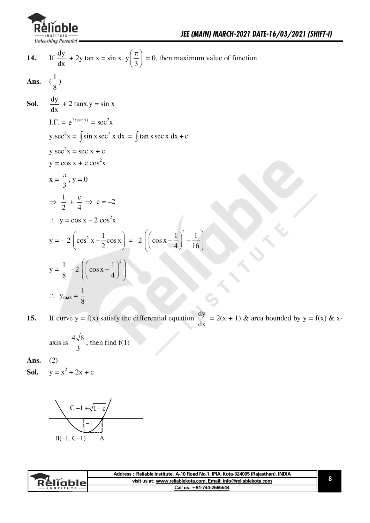

14. If 
$$
\frac{dy}{dx} + 2y \tan x = \sin x
$$
,  $y(\frac{\pi}{3}) = 0$ , then maximum value of function  
\n**Ans.**  $(\frac{1}{8})$   
\n**Sol.**  $\frac{dy}{dx} + 2 \tan x \cdot y = \sin x$   
\nI.F. =  $e^{2t(\sec x)} = \sec^2 x$   
\n $y \cdot \sec^2 x = \int \sin x \sec^2 x \, dx = \int \tan x \sec x \, dx + c$   
\n $y \sec^2 x = \sec x + c$   
\n $y = \cos x + c \cos^2 x$   
\n $x = \frac{\pi}{3}, y = 0$   
\n $\Rightarrow \frac{1}{2} + \frac{c}{4} \Rightarrow c = -2$   
\n $\therefore y = \cos x - 2 \cos^2 x$   
\n $y = -2 \left( \cos^2 x - \frac{1}{2} \cos x \right) = -2 \left( \left( \cos x - \frac{1}{4} \right)^2 - \frac{1}{16} \right)$   
\n $y = \frac{1}{8} - 2 \left( \left( \cos x - \frac{1}{4} \right)^2 \right)$   
\n $\therefore y_{max} = \frac{1}{8}$ 

If curve  $y = f(x)$  satisfy the differential equation  $\frac{dy}{dx} = 2(x + 1)$  & area bounded by  $y = f(x)$  & x-15.

axis is 
$$
\frac{4\sqrt{8}}{3}
$$
, then find f(1)

 $(2)$ Ans.

 $y = x^2 + 2x + c$ Sol.



|                  | Address: 'Reliable Institute', A-10 Road No.1, IPIA, Kota-324005 (Rajasthan), INDIA |  |
|------------------|-------------------------------------------------------------------------------------|--|
| <b>ReligbleL</b> | visit us at: www.reliablekota.com, Email: info@reliablekota.com                     |  |
| <b>INSTITUTE</b> | Call us: +91-744-2665544                                                            |  |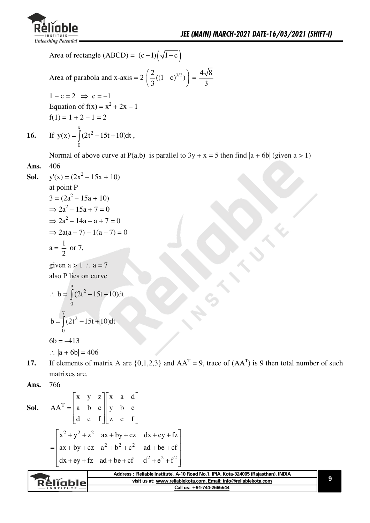

Area of rectangle (ABCD) =  $|(c-1)(\sqrt{1-c})|$ Area of parabola and x-axis =  $2\left(\frac{2}{3}((1-c)^{3/2})\right) = \frac{4\sqrt{8}}{3}$  $1-c=2 \Rightarrow c=-1$ Equation of  $f(x) = x^2 + 2x - 1$  $f(1) = 1 + 2 - 1 = 2$ If  $y(x) = \int (2t^2 - 15t + 10) dt$ , 16.

Normal of above curve at P(a,b) is parallel to  $3y + x = 5$  then find  $|a + 6b|$  (given  $a > 1$ ) 406

**Ans.** 406  
\n**Sol.** y'(x) = (2x<sup>2</sup> - 15x + 10)  
\nat point P  
\n3 = (2a<sup>2</sup> - 15a + 10)  
\n⇒ 2a<sup>2</sup> - 15a + 7 = 0  
\n⇒ 2a<sup>2</sup> - 14a - a + 7 = 0  
\n⇒ 2a(a - 7) - 1(a - 7) = 0  
\na = 
$$
\frac{1}{2}
$$
 or 7,

given  $a > 1$  :  $a = 7$ also P lies on curve

$$
\therefore b = \int_{0}^{a} (2t^2 - 15t + 10) dt
$$
  

$$
b = \int_{0}^{7} (2t^2 - 15t + 10) dt
$$

 $6b = -413$ 

$$
\therefore |a + 6b| = 406
$$

If elements of matrix A are  $\{0,1,2,3\}$  and  $AA<sup>T</sup> = 9$ , trace of  $(AA<sup>T</sup>)$  is 9 then total number of such  $17.$ matrixes are.

**Sol.** 
$$
AA^T = \begin{bmatrix} x & y & z \\ a & b & c \\ d & e & f \end{bmatrix} \begin{bmatrix} x & a & d \\ y & b & e \\ z & c & f \end{bmatrix}
$$
  

$$
= \begin{bmatrix} x^2 + y^2 + z^2 & ax + by + cz & dx + ey + fz \\ ax + by + cz & a^2 + b^2 + c^2 & ad + be + cf \\ dx + ey + fz & ad + be + cf & d^2 + e^2 + f^2 \end{bmatrix}
$$

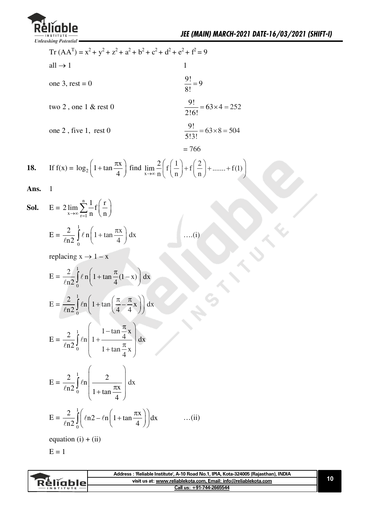![](_page_9_Picture_0.jpeg)

Tr  $(AA<sup>T</sup>) = x<sup>2</sup> + y<sup>2</sup> + z<sup>2</sup> + a<sup>2</sup> + b<sup>2</sup> + c<sup>2</sup> + d<sup>2</sup> + e<sup>2</sup> + f<sup>2</sup> = 9$ all  $\rightarrow$  1  $\overline{1}$  $\frac{9!}{8!} = 9$ one 3, rest =  $0$  $\frac{9!}{2!6!}$  = 63 × 4 = 252 two  $2$ , one  $1 \&$  rest  $0$  $\frac{9!}{5!3!}$  = 63×8 = 504 one 2, five 1, rest 0  $= 766$ 

**18.** If 
$$
f(x) = log_2\left(1 + tan\frac{\pi x}{4}\right)
$$
 find  $\lim_{x \to \infty} \frac{2}{n} \left(f\left(\frac{1}{n}\right) + f\left(\frac{2}{n}\right) + \dots + f(1)\right)$ 

**Ans.** 1

**Sol.** 
$$
E = 2 \lim_{x \to \infty} \sum_{r=1}^{n} \frac{1}{n} f\left(\frac{r}{n}\right)
$$

$$
E = \frac{2}{\ln 2} \int_{0}^{1} \ell n \left(1 + \tan \frac{\pi x}{4}\right) dx \qquad \qquad \dots (i)
$$

replacing  $x \rightarrow 1 - x$ 

$$
E = \frac{2}{\ln 2} \int_0^1 \ell n \left( 1 + \tan \frac{\pi}{4} (1 - x) \right) dx
$$
  
\n
$$
E = \frac{2}{\ln 2} \int_0^1 \ell n \left( 1 + \tan \left( \frac{\pi}{4} - \frac{\pi}{4} x \right) \right) dx
$$
  
\n
$$
E = \frac{2}{\ln 2} \int_0^1 \ell n \left( 1 + \frac{1 - \tan \frac{\pi}{4} x}{1 + \tan \frac{\pi}{4} x} \right) dx
$$
  
\n
$$
E = \frac{2}{\ln 2} \int_0^1 \ell n \left( \frac{2}{1 + \tan \frac{\pi x}{4}} \right) dx
$$
  
\n
$$
E = \frac{2}{\ln 2} \int_0^1 \ell n (2 - \ell n) \left( 1 + \tan \frac{\pi x}{4} \right) dx
$$
...(ii)  
\nequation (i) + (ii)

 $E = 1$ 

| visit us at: www.reliablekota.com. Email: info@reliablekota.com<br><b>Réliable</b><br>Call us: +91-744-2665544<br><b>INSTITUTE</b> | Address: 'Reliable Institute', A-10 Road No.1, IPIA, Kota-324005 (Rajasthan), INDIA |  |
|------------------------------------------------------------------------------------------------------------------------------------|-------------------------------------------------------------------------------------|--|
|                                                                                                                                    |                                                                                     |  |
|                                                                                                                                    |                                                                                     |  |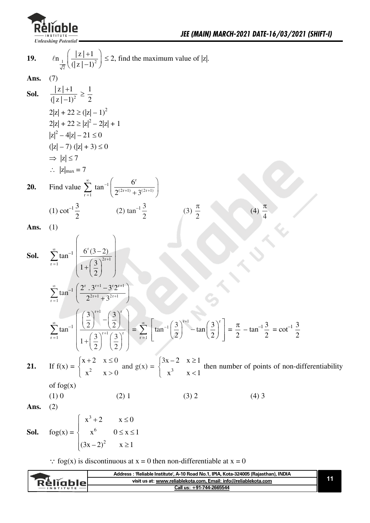![](_page_10_Picture_0.jpeg)

(4)  $\frac{\pi}{4}$ 

19. 
$$
\ln \left( \frac{|z|+1}{\sqrt{2}} \right) \le 2
$$
, find the maximum value of |z|.

Ans.  $(7)$ 

**Sol.** 
$$
\frac{|z|+1}{(|z|-1)^2} \ge \frac{1}{2}
$$
  
\n
$$
2|z| + 22 \ge (|z|-1)^2
$$
  
\n
$$
2|z| + 22 \ge |z|^2 - 2|z| + 1
$$
  
\n
$$
|z|^2 - 4|z| - 21 \le 0
$$
  
\n
$$
(|z|-7) (|z|+3) \le 0
$$
  
\n
$$
\Rightarrow |z| \le 7
$$
  
\n
$$
\therefore |z|_{\text{max}} = 7
$$

20. Find value 
$$
\sum_{r=1}^{\infty} \tan^{-1} \left( \frac{6^r}{2^{(2r+1)} + 3^{(2r+1)}} \right)
$$
  
\n(1)  $\cot^{-1} \frac{3}{2}$  (2)  $\tan^{-1} \frac{3}{2}$  (3)  $\frac{\pi}{2}$ 

 $(3)$   $\frac{1}{2}$ 

Ans.  $(1)$ 

**Sol.** 
$$
\sum_{r=1}^{\infty} \tan^{-1} \left( \frac{6^{r} (3-2)}{1 + \left(\frac{3}{2}\right)^{2r+1}} \right)
$$

$$
\sum_{r=1}^{\infty} \tan^{-1} \left( \frac{2^{r} \cdot 3^{r+1} - 3^{r} 2^{r+1}}{2^{2r+1} + 3^{2r+1}} \right)
$$

$$
\sum_{r=1}^{\infty} \tan^{-1} \left( \frac{\left(\frac{3}{2}\right)^{r+1} - \left(\frac{3}{2}\right)^{r}}{1 + \left(\frac{3}{2}\right)^{r+1} \left(\frac{3}{2}\right)^{r}} \right) = \sum_{r=1}^{\infty} \left[ \tan^{-1} \left(\frac{3}{2}\right)^{r+1} - \tan \left(\frac{3}{2}\right)^{r} \right] = \frac{\pi}{2} - \tan^{-1} \frac{3}{2} = \cot^{-1} \frac{3}{2}
$$

$$
\left( x + 2, x \le 0 \right) \qquad (3x - 2, x > 1)
$$

If  $f(x) = \begin{cases} x+2 & x \le 0 \\ x^2 & x > 0 \end{cases}$  and  $g(x) = \begin{cases} 3x-2 & x \ge 1 \\ x^3 & x < 1 \end{cases}$  then number of points of non-differentiability 21.

of  $f \circ g(x)$ 

$$
(1) 0 \t(2) 1 \t(3) 2 \t(4) 3
$$

Ans.  $(2)$ 

fog(x) =  $\begin{cases} x^3 + 2 & x \le 0 \\ x^6 & 0 \le x \le 1 \\ (3x - 2)^2 & x \ge 1 \end{cases}$ Sol.

 $\therefore$  fog(x) is discontinuous at x = 0 then non-differentiable at x = 0